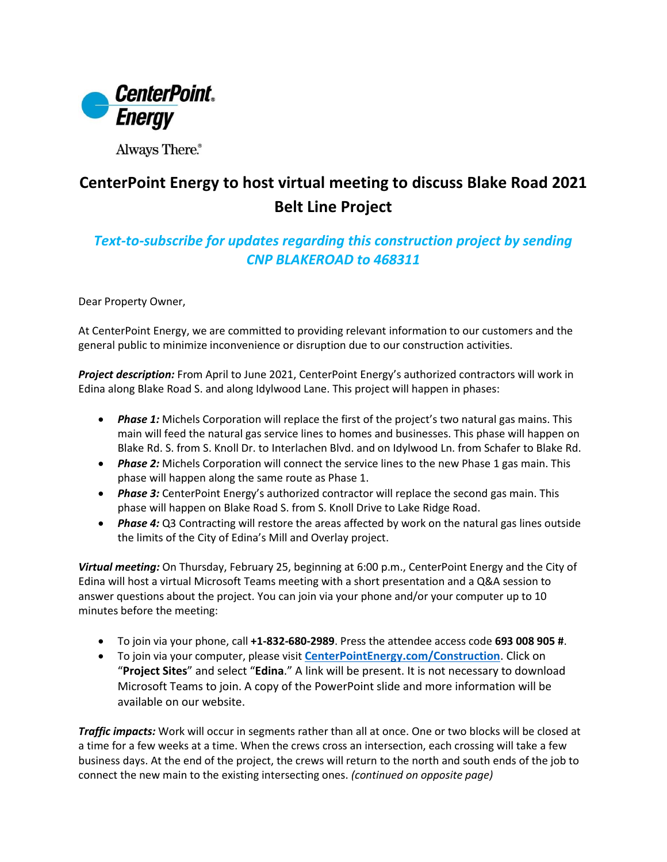

Always There.®

## **CenterPoint Energy to host virtual meeting to discuss Blake Road 2021 Belt Line Project**

## *Text-to-subscribe for updates regarding this construction project by sending CNP BLAKEROAD to 468311*

Dear Property Owner,

At CenterPoint Energy, we are committed to providing relevant information to our customers and the general public to minimize inconvenience or disruption due to our construction activities.

*Project description:* From April to June 2021, CenterPoint Energy's authorized contractors will work in Edina along Blake Road S. and along Idylwood Lane. This project will happen in phases:

- *Phase 1:* Michels Corporation will replace the first of the project's two natural gas mains. This main will feed the natural gas service lines to homes and businesses. This phase will happen on Blake Rd. S. from S. Knoll Dr. to Interlachen Blvd. and on Idylwood Ln. from Schafer to Blake Rd.
- *Phase 2:* Michels Corporation will connect the service lines to the new Phase 1 gas main. This phase will happen along the same route as Phase 1.
- *Phase 3:* CenterPoint Energy's authorized contractor will replace the second gas main. This phase will happen on Blake Road S. from S. Knoll Drive to Lake Ridge Road.
- *Phase 4:* Q3 Contracting will restore the areas affected by work on the natural gas lines outside the limits of the City of Edina's Mill and Overlay project.

*Virtual meeting:* On Thursday, February 25, beginning at 6:00 p.m., CenterPoint Energy and the City of Edina will host a virtual Microsoft Teams meeting with a short presentation and a Q&A session to answer questions about the project. You can join via your phone and/or your computer up to 10 minutes before the meeting:

- To join via your phone, call **+1-832-680-2989**. Press the attendee access code **693 008 905 #**.
- To join via your computer, please visit **[CenterPointEnergy.com/Construction](http://www.centerpointenergy.com/Construction)**. Click on "**Project Sites**" and select "**Edina**." A link will be present. It is not necessary to download Microsoft Teams to join. A copy of the PowerPoint slide and more information will be available on our website.

*Traffic impacts:* Work will occur in segments rather than all at once. One or two blocks will be closed at a time for a few weeks at a time. When the crews cross an intersection, each crossing will take a few business days. At the end of the project, the crews will return to the north and south ends of the job to connect the new main to the existing intersecting ones. *(continued on opposite page)*